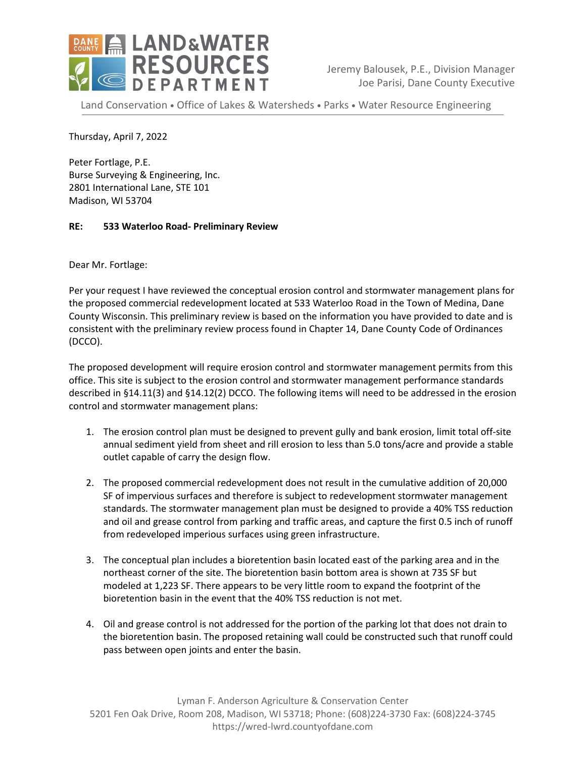

Jeremy Balousek, P.E., Division Manager Joe Parisi, Dane County Executive

Land Conservation • Office of Lakes & Watersheds • Parks • Water Resource Engineering

Thursday, April 7, 2022

Peter Fortlage, P.E. Burse Surveying & Engineering, Inc. 2801 International Lane, STE 101 Madison, WI 53704

## **RE: 533 Waterloo Road- Preliminary Review**

Dear Mr. Fortlage:

Per your request I have reviewed the conceptual erosion control and stormwater management plans for the proposed commercial redevelopment located at 533 Waterloo Road in the Town of Medina, Dane County Wisconsin. This preliminary review is based on the information you have provided to date and is consistent with the preliminary review process found in Chapter 14, Dane County Code of Ordinances (DCCO).

The proposed development will require erosion control and stormwater management permits from this office. This site is subject to the erosion control and stormwater management performance standards described in §14.11(3) and §14.12(2) DCCO. The following items will need to be addressed in the erosion control and stormwater management plans:

- 1. The erosion control plan must be designed to prevent gully and bank erosion, limit total off-site annual sediment yield from sheet and rill erosion to less than 5.0 tons/acre and provide a stable outlet capable of carry the design flow.
- 2. The proposed commercial redevelopment does not result in the cumulative addition of 20,000 SF of impervious surfaces and therefore is subject to redevelopment stormwater management standards. The stormwater management plan must be designed to provide a 40% TSS reduction and oil and grease control from parking and traffic areas, and capture the first 0.5 inch of runoff from redeveloped imperious surfaces using green infrastructure.
- 3. The conceptual plan includes a bioretention basin located east of the parking area and in the northeast corner of the site. The bioretention basin bottom area is shown at 735 SF but modeled at 1,223 SF. There appears to be very little room to expand the footprint of the bioretention basin in the event that the 40% TSS reduction is not met.
- 4. Oil and grease control is not addressed for the portion of the parking lot that does not drain to the bioretention basin. The proposed retaining wall could be constructed such that runoff could pass between open joints and enter the basin.